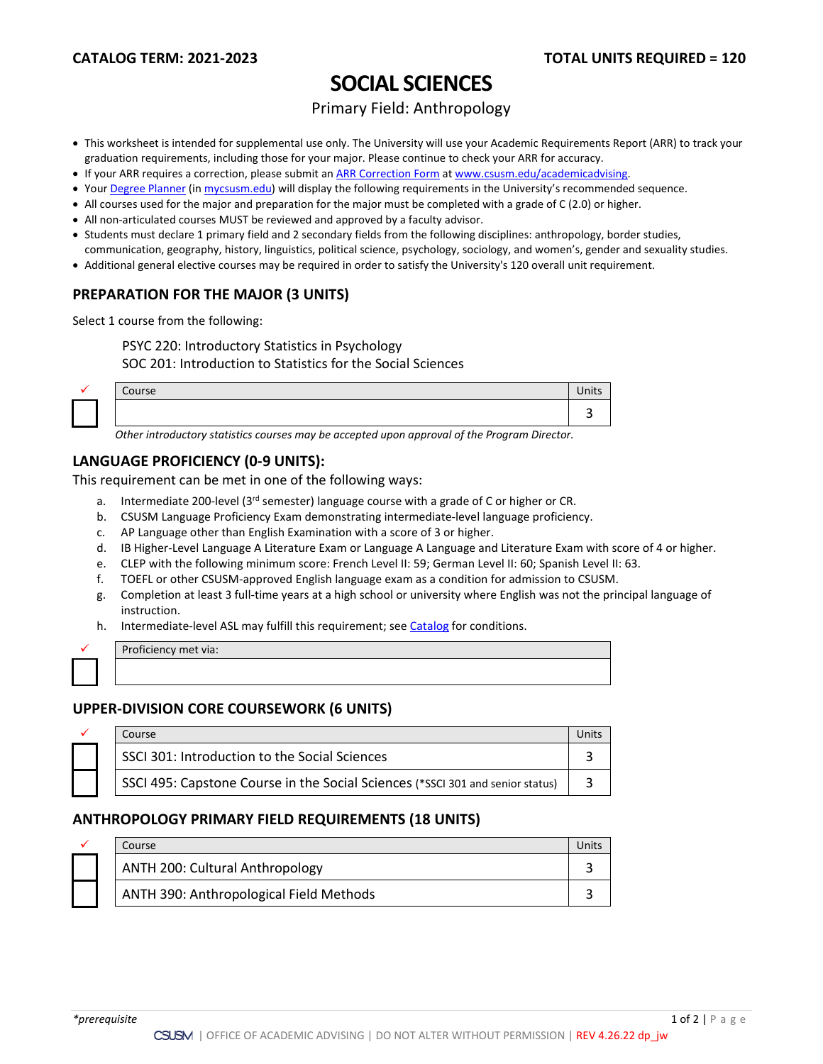# **SOCIAL SCIENCES**

## Primary Field: Anthropology

- This worksheet is intended for supplemental use only. The University will use your Academic Requirements Report (ARR) to track your graduation requirements, including those for your major. Please continue to check your ARR for accuracy.
- If your ARR requires a correction, please submit an [ARR Correction Form](http://www.csusm.edu/academicadvising/arrcorrection/index.html) a[t www.csusm.edu/academicadvising.](http://www.csusm.edu/academicadvising)
- You[r Degree Planner](https://www.csusm.edu/academicadvising/degreeplanner/index.html) (i[n mycsusm.edu\)](https://my.csusm.edu/) will display the following requirements in the University's recommended sequence.
- All courses used for the major and preparation for the major must be completed with a grade of C (2.0) or higher.
- All non-articulated courses MUST be reviewed and approved by a faculty advisor.
- Students must declare 1 primary field and 2 secondary fields from the following disciplines: anthropology, border studies,
- communication, geography, history, linguistics, political science, psychology, sociology, and women's, gender and sexuality studies.
- Additional general elective courses may be required in order to satisfy the University's 120 overall unit requirement.

## **PREPARATION FOR THE MAJOR (3 UNITS)**

Select 1 course from the following:

PSYC 220: Introductory Statistics in Psychology

SOC 201: Introduction to Statistics for the Social Sciences

| Course | $11 - 14$<br>UIILJ |
|--------|--------------------|
|        |                    |

*Other introductory statistics courses may be accepted upon approval of the Program Director.*

## **LANGUAGE PROFICIENCY (0-9 UNITS):**

This requirement can be met in one of the following ways:

- a. Intermediate 200-level (3<sup>rd</sup> semester) language course with a grade of C or higher or CR.
- b. CSUSM Language Proficiency Exam demonstrating intermediate-level language proficiency.
- c. AP Language other than English Examination with a score of 3 or higher.
- d. IB Higher-Level Language A Literature Exam or Language A Language and Literature Exam with score of 4 or higher.
- e. CLEP with the following minimum score: French Level II: 59; German Level II: 60; Spanish Level II: 63.
- f. TOEFL or other CSUSM-approved English language exam as a condition for admission to CSUSM.
- g. Completion at least 3 full-time years at a high school or university where English was not the principal language of instruction.
- h. Intermediate-level ASL may fulfill this requirement; see [Catalog](http://catalog.csusm.edu/) for conditions.

|  | Proficiency met via: |
|--|----------------------|
|  |                      |
|  |                      |

## **UPPER-DIVISION CORE COURSEWORK (6 UNITS)**

|  | Course                                                                         |  |
|--|--------------------------------------------------------------------------------|--|
|  | SSCI 301: Introduction to the Social Sciences                                  |  |
|  | SSCI 495: Capstone Course in the Social Sciences (*SSCI 301 and senior status) |  |

## **ANTHROPOLOGY PRIMARY FIELD REQUIREMENTS (18 UNITS)**

|  | Course                                  | Jnit |
|--|-----------------------------------------|------|
|  | ANTH 200: Cultural Anthropology         |      |
|  | ANTH 390: Anthropological Field Methods |      |